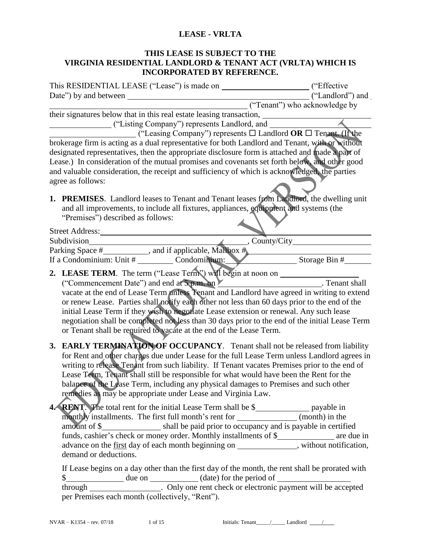#### **LEASE - VRLTA**

#### **THIS LEASE IS SUBJECT TO THE VIRGINIA RESIDENTIAL LANDLORD & TENANT ACT (VRLTA) WHICH IS INCORPORATED BY REFERENCE.**

|                                                                                      |                                                                                                                                                                                                    | ("Tenant") who acknowledge by |  |
|--------------------------------------------------------------------------------------|----------------------------------------------------------------------------------------------------------------------------------------------------------------------------------------------------|-------------------------------|--|
|                                                                                      | their signatures below that in this real estate leasing transaction,                                                                                                                               |                               |  |
|                                                                                      | ("Listing Company") represents Landlord, and _________                                                                                                                                             |                               |  |
|                                                                                      | ("Leasing Company") represents $\Box$ Landlord <b>OR</b> $\Box$ Tenant. (If the                                                                                                                    |                               |  |
|                                                                                      | brokerage firm is acting as a dual representative for both Landlord and Tenant, with or without<br>designated representatives, then the appropriate disclosure form is attached and made a part of |                               |  |
|                                                                                      | Lease.) In consideration of the mutual promises and covenants set forth below, and other good                                                                                                      |                               |  |
|                                                                                      | and valuable consideration, the receipt and sufficiency of which is acknowledged, the parties                                                                                                      |                               |  |
|                                                                                      | agree as follows:                                                                                                                                                                                  |                               |  |
|                                                                                      |                                                                                                                                                                                                    |                               |  |
|                                                                                      | 1. PREMISES. Landlord leases to Tenant and Tenant leases from Landlord, the dwelling unit                                                                                                          |                               |  |
|                                                                                      | and all improvements, to include all fixtures, appliances, equipment and systems (the                                                                                                              |                               |  |
|                                                                                      | "Premises") described as follows:                                                                                                                                                                  |                               |  |
|                                                                                      | Street Address:                                                                                                                                                                                    |                               |  |
|                                                                                      | Subdivision                                                                                                                                                                                        |                               |  |
|                                                                                      |                                                                                                                                                                                                    |                               |  |
|                                                                                      |                                                                                                                                                                                                    |                               |  |
|                                                                                      | 2. LEASE TERM. The term ("Lease Term") will begin at noon on ___________                                                                                                                           |                               |  |
|                                                                                      | ("Commencement Date") and end at 5 p.m. on X [Commencement Shall]                                                                                                                                  |                               |  |
|                                                                                      | vacate at the end of Lease Term unless Tenant and Landlord have agreed in writing to extend                                                                                                        |                               |  |
|                                                                                      | or renew Lease. Parties shall notify each other not less than 60 days prior to the end of the                                                                                                      |                               |  |
|                                                                                      | initial Lease Term if they wish to negotiate Lease extension or renewal. Any such lease                                                                                                            |                               |  |
|                                                                                      | negotiation shall be completed not less than 30 days prior to the end of the initial Lease Term                                                                                                    |                               |  |
|                                                                                      | or Tenant shall be required to vacate at the end of the Lease Term.                                                                                                                                |                               |  |
|                                                                                      | 3. EARLY TERMINATION OF OCCUPANCY. Tenant shall not be released from liability                                                                                                                     |                               |  |
|                                                                                      | for Rent and other charges due under Lease for the full Lease Term unless Landlord agrees in                                                                                                       |                               |  |
|                                                                                      | writing to release Tenant from such liability. If Tenant vacates Premises prior to the end of                                                                                                      |                               |  |
|                                                                                      | Lease Term, Tenant shall still be responsible for what would have been the Rent for the                                                                                                            |                               |  |
| balance of the Lease Term, including any physical damages to Premises and such other |                                                                                                                                                                                                    |                               |  |
|                                                                                      | remedies as may be appropriate under Lease and Virginia Law.                                                                                                                                       |                               |  |
|                                                                                      | <b>RENT</b> . The total rent for the initial Lease Term shall be \$_________________ payable in                                                                                                    |                               |  |
|                                                                                      | monthly installments. The first full month's rent for ______________(month) in the                                                                                                                 |                               |  |
|                                                                                      |                                                                                                                                                                                                    |                               |  |
|                                                                                      | funds, cashier's check or money order. Monthly installments of \$________________ are due in                                                                                                       |                               |  |
|                                                                                      | advance on the first day of each month beginning on _____________, without notification,                                                                                                           |                               |  |
|                                                                                      | demand or deductions.                                                                                                                                                                              |                               |  |
|                                                                                      | If Lease begins on a day other than the first day of the month, the rent shall be prorated with                                                                                                    |                               |  |
|                                                                                      |                                                                                                                                                                                                    |                               |  |
|                                                                                      | through _______________. Only one rent check or electronic payment will be accepted                                                                                                                |                               |  |
|                                                                                      | per Premises each month (collectively, "Rent").                                                                                                                                                    |                               |  |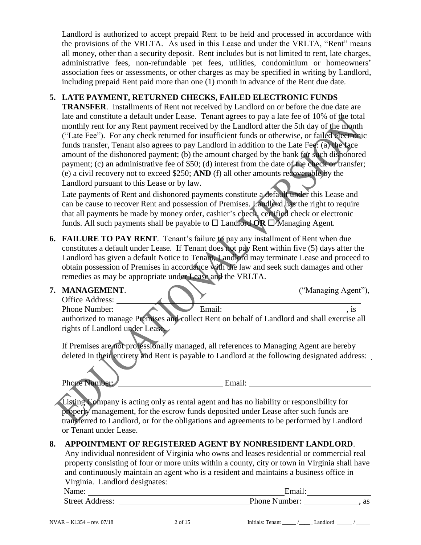Landlord is authorized to accept prepaid Rent to be held and processed in accordance with the provisions of the VRLTA. As used in this Lease and under the VRLTA, "Rent" means all money, other than a security deposit. Rent includes but is not limited to rent, late charges, administrative fees, non-refundable pet fees, utilities, condominium or homeowners' association fees or assessments, or other charges as may be specified in writing by Landlord, including prepaid Rent paid more than one (1) month in advance of the Rent due date.

## **5. LATE PAYMENT, RETURNED CHECKS, FAILED ELECTRONIC FUNDS**

**TRANSFER**. Installments of Rent not received by Landlord on or before the due date are late and constitute a default under Lease. Tenant agrees to pay a late fee of 10% of the total monthly rent for any Rent payment received by the Landlord after the 5th day of the month ("Late Fee"). For any check returned for insufficient funds or otherwise, or failed electronic funds transfer, Tenant also agrees to pay Landlord in addition to the Late Fee: (a) the face amount of the dishonored payment; (b) the amount charged by the bank for such dishonored payment; (c) an administrative fee of \$50; (d) interest from the date of the check or transfer; (e) a civil recovery not to exceed \$250; **AND** (f) all other amounts recoverable by the Landlord pursuant to this Lease or by law.

Late payments of Rent and dishonored payments constitute a default under this Lease and can be cause to recover Rent and possession of Premises. Landlord has the right to require that all payments be made by money order, cashier's check, certified check or electronic funds. All such payments shall be payable to  $\square$  Landford **OR**  $\square$  Managing Agent.

**6. FAILURE TO PAY RENT.** Tenant's failure to pay any installment of Rent when due constitutes a default under Lease. If Tenant does not pay Rent within five (5) days after the Landlord has given a default Notice to Tenant, Landlord may terminate Lease and proceed to obtain possession of Premises in accordance with the law and seek such damages and other remedies as may be appropriate under Lease and the VRLTA.

#### **7. MANAGEMENT**. ("Managing Agent"), Office Address:

Phone Number: **Email:** Email: **Email:** , is authorized to manage Premises and collect Rent on behalf of Landlord and shall exercise all rights of Landlord under Lease.

If Premises are not professionally managed, all references to Managing Agent are hereby deleted in their entirety and Rent is payable to Landlord at the following designated address:

Phone Number: Email:

Listing Company is acting only as rental agent and has no liability or responsibility for property management, for the escrow funds deposited under Lease after such funds are transferred to Landlord, or for the obligations and agreements to be performed by Landlord or Tenant under Lease.

## **8. APPOINTMENT OF REGISTERED AGENT BY NONRESIDENT LANDLORD**.

Any individual nonresident of Virginia who owns and leases residential or commercial real property consisting of four or more units within a county, city or town in Virginia shall have and continuously maintain an agent who is a resident and maintains a business office in Virginia. Landlord designates:

Name: Email: Street Address:  $\blacksquare$  Phone Number: , as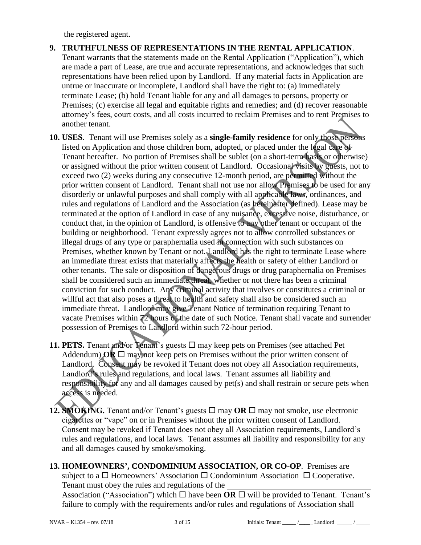the registered agent.

- **9. TRUTHFULNESS OF REPRESENTATIONS IN THE RENTAL APPLICATION**. Tenant warrants that the statements made on the Rental Application ("Application"), which are made a part of Lease, are true and accurate representations, and acknowledges that such representations have been relied upon by Landlord. If any material facts in Application are untrue or inaccurate or incomplete, Landlord shall have the right to: (a) immediately terminate Lease; (b) hold Tenant liable for any and all damages to persons, property or Premises; (c) exercise all legal and equitable rights and remedies; and (d) recover reasonable attorney's fees, court costs, and all costs incurred to reclaim Premises and to rent Premises to another tenant.
- **10. USES**. Tenant will use Premises solely as a **single-family residence** for only those persons listed on Application and those children born, adopted, or placed under the legal care of Tenant hereafter. No portion of Premises shall be sublet (on a short-term basis or otherwise) or assigned without the prior written consent of Landlord. Occasional visits by guests, not to exceed two (2) weeks during any consecutive 12-month period, are permitted without the prior written consent of Landlord. Tenant shall not use nor allow Premises to be used for any disorderly or unlawful purposes and shall comply with all applicable laws, ordinances, and rules and regulations of Landlord and the Association (as hereinafter defined). Lease may be terminated at the option of Landlord in case of any nuisance, excessive noise, disturbance, or conduct that, in the opinion of Landlord, is offensive to any other tenant or occupant of the building or neighborhood. Tenant expressly agrees not to allow controlled substances or illegal drugs of any type or paraphernalia used in connection with such substances on Premises, whether known by Tenant or not. Landlord has the right to terminate Lease where an immediate threat exists that materially affects the health or safety of either Landlord or other tenants. The sale or disposition of dangerous drugs or drug paraphernalia on Premises shall be considered such an immediate threat, whether or not there has been a criminal conviction for such conduct. Any criminal activity that involves or constitutes a criminal or willful act that also poses a threat to health and safety shall also be considered such an immediate threat. Landlord may give Tenant Notice of termination requiring Tenant to vacate Premises within 72 hours of the date of such Notice. Tenant shall vacate and surrender possession of Premises to Landlord within such 72-hour period.
- **11. PETS.** Tenant and/or Tenant's guests  $\Box$  may keep pets on Premises (see attached Pet) Addendum) **OR**  $\Box$  may not keep pets on Premises without the prior written consent of Landlord. Consent may be revoked if Tenant does not obey all Association requirements, Landlord's rules and regulations, and local laws. Tenant assumes all liability and responsibility for any and all damages caused by pet(s) and shall restrain or secure pets when access is needed.
- **12. SMOKING.** Tenant and/or Tenant's guests  $\Box$  may **OR**  $\Box$  may not smoke, use electronic cigarettes or "vape" on or in Premises without the prior written consent of Landlord. Consent may be revoked if Tenant does not obey all Association requirements, Landlord's rules and regulations, and local laws. Tenant assumes all liability and responsibility for any and all damages caused by smoke/smoking.
- **13. HOMEOWNERS', CONDOMINIUM ASSOCIATION, OR CO-OP**.Premises are subject to a  $\Box$  Homeowners' Association  $\Box$  Condominium Association  $\Box$  Cooperative. Tenant must obey the rules and regulations of the Association ("Association") which  $\Box$  have been **OR**  $\Box$  will be provided to Tenant. Tenant's

failure to comply with the requirements and/or rules and regulations of Association shall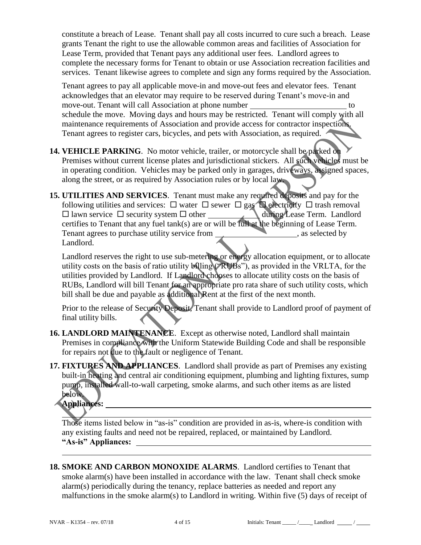constitute a breach of Lease. Tenant shall pay all costs incurred to cure such a breach. Lease grants Tenant the right to use the allowable common areas and facilities of Association for Lease Term, provided that Tenant pays any additional user fees. Landlord agrees to complete the necessary forms for Tenant to obtain or use Association recreation facilities and services. Tenant likewise agrees to complete and sign any forms required by the Association.

Tenant agrees to pay all applicable move-in and move-out fees and elevator fees. Tenant acknowledges that an elevator may require to be reserved during Tenant's move-in and move-out. Tenant will call Association at phone number to schedule the move. Moving days and hours may be restricted. Tenant will comply with all maintenance requirements of Association and provide access for contractor inspections. Tenant agrees to register cars, bicycles, and pets with Association, as required.

- **14. VEHICLE PARKING**. No motor vehicle, trailer, or motorcycle shall be parked on Premises without current license plates and jurisdictional stickers. All such vehicles must be in operating condition. Vehicles may be parked only in garages, driveways, assigned spaces, along the street, or as required by Association rules or by local law.
- **15. UTILITIES AND SERVICES**. Tenant must make any required deposits and pay for the following utilities and services:  $\square$  water  $\square$  sewer  $\square$  gas  $\square$  electricity  $\square$  trash removal  $\square$  lawn service  $\square$  security system  $\square$  other during Lease Term. Landlord  $\Box$  lawn service  $\Box$  security system  $\Box$  other certifies to Tenant that any fuel tank(s) are or will be full at the beginning of Lease Term. Tenant agrees to purchase utility service from \_\_\_\_\_\_\_\_\_\_\_\_\_\_\_\_\_\_\_\_\_\_\_\_\_\_\_, as selected by Landlord.

Landlord reserves the right to use sub-metering or energy allocation equipment, or to allocate utility costs on the basis of ratio utility billing ("RUBs"), as provided in the VRLTA, for the utilities provided by Landlord. If Landlord chooses to allocate utility costs on the basis of RUBs, Landlord will bill Tenant for an appropriate pro rata share of such utility costs, which bill shall be due and payable as additional Rent at the first of the next month.

Prior to the release of Security Deposit, Tenant shall provide to Landlord proof of payment of final utility bills. ◀

- **16. LANDLORD MAINTENANCE**. Except as otherwise noted, Landlord shall maintain Premises in compliance with the Uniform Statewide Building Code and shall be responsible for repairs not due to the fault or negligence of Tenant.
- **17. FIXTURES AND APPLIANCES**. Landlord shall provide as part of Premises any existing built-in heating and central air conditioning equipment, plumbing and lighting fixtures, sump pump, installed wall-to-wall carpeting, smoke alarms, and such other items as are listed below.

**Appliances:** 

Those items listed below in "as-is" condition are provided in as-is, where-is condition with any existing faults and need not be repaired, replaced, or maintained by Landlord. **"As-is" Appliances:** 

**18. SMOKE AND CARBON MONOXIDE ALARMS**. Landlord certifies to Tenant that smoke alarm(s) have been installed in accordance with the law. Tenant shall check smoke alarm(s) periodically during the tenancy, replace batteries as needed and report any malfunctions in the smoke alarm(s) to Landlord in writing. Within five (5) days of receipt of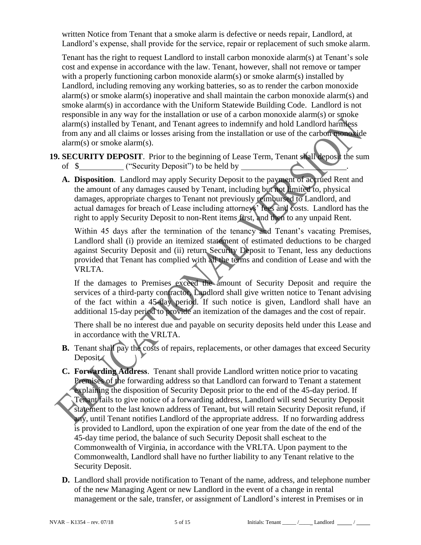written Notice from Tenant that a smoke alarm is defective or needs repair, Landlord, at Landlord's expense, shall provide for the service, repair or replacement of such smoke alarm.

Tenant has the right to request Landlord to install carbon monoxide alarm(s) at Tenant's sole cost and expense in accordance with the law. Tenant, however, shall not remove or tamper with a properly functioning carbon monoxide alarm(s) or smoke alarm(s) installed by Landlord, including removing any working batteries, so as to render the carbon monoxide alarm(s) or smoke alarm(s) inoperative and shall maintain the carbon monoxide alarm(s) and smoke alarm(s) in accordance with the Uniform Statewide Building Code. Landlord is not responsible in any way for the installation or use of a carbon monoxide alarm(s) or smoke alarm(s) installed by Tenant, and Tenant agrees to indemnify and hold Landlord harmless from any and all claims or losses arising from the installation or use of the carbon monoxide alarm(s) or smoke alarm(s).

- **19. SECURITY DEPOSIT**. Prior to the beginning of Lease Term, Tenant shall deposit the sum of \$
	- **A. Disposition**. Landlord may apply Security Deposit to the payment of accrued Rent and the amount of any damages caused by Tenant, including but not limited to, physical damages, appropriate charges to Tenant not previously reimbursed to Landlord, and actual damages for breach of Lease including attorneys' fees and costs. Landlord has the right to apply Security Deposit to non-Rent items first, and then to any unpaid Rent.

Within 45 days after the termination of the tenancy and Tenant's vacating Premises, Landlord shall (i) provide an itemized statement of estimated deductions to be charged against Security Deposit and (ii) return Security Deposit to Tenant, less any deductions provided that Tenant has complied with all the terms and condition of Lease and with the VRLTA.

If the damages to Premises exceed the amount of Security Deposit and require the services of a third-party contractor. Landlord shall give written notice to Tenant advising of the fact within a 45-day period. If such notice is given, Landlord shall have an additional 15-day period to provide an itemization of the damages and the cost of repair.

There shall be no interest due and payable on security deposits held under this Lease and in accordance with the VRLTA.

- **B.** Tenant shall pay the costs of repairs, replacements, or other damages that exceed Security Deposit.
- **C. Forwarding Address**. Tenant shall provide Landlord written notice prior to vacating Premises of the forwarding address so that Landlord can forward to Tenant a statement explaining the disposition of Security Deposit prior to the end of the 45-day period. If Tenant fails to give notice of a forwarding address, Landlord will send Security Deposit statement to the last known address of Tenant, but will retain Security Deposit refund, if any, until Tenant notifies Landlord of the appropriate address. If no forwarding address is provided to Landlord, upon the expiration of one year from the date of the end of the 45-day time period, the balance of such Security Deposit shall escheat to the Commonwealth of Virginia, in accordance with the VRLTA. Upon payment to the Commonwealth, Landlord shall have no further liability to any Tenant relative to the Security Deposit.
- **D.** Landlord shall provide notification to Tenant of the name, address, and telephone number of the new Managing Agent or new Landlord in the event of a change in rental management or the sale, transfer, or assignment of Landlord's interest in Premises or in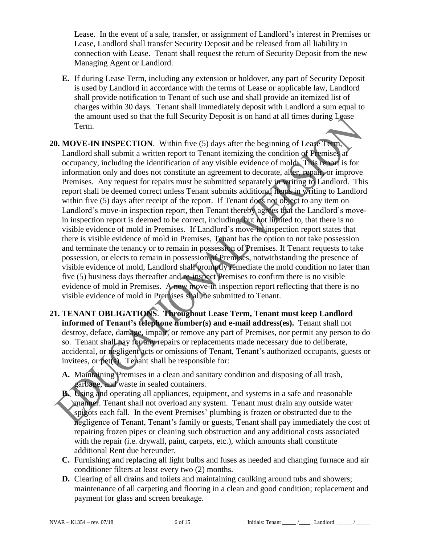Lease. In the event of a sale, transfer, or assignment of Landlord's interest in Premises or Lease, Landlord shall transfer Security Deposit and be released from all liability in connection with Lease. Tenant shall request the return of Security Deposit from the new Managing Agent or Landlord.

**E.** If during Lease Term, including any extension or holdover, any part of Security Deposit is used by Landlord in accordance with the terms of Lease or applicable law, Landlord shall provide notification to Tenant of such use and shall provide an itemized list of charges within 30 days. Tenant shall immediately deposit with Landlord a sum equal to the amount used so that the full Security Deposit is on hand at all times during Lease Term.

**20. MOVE-IN INSPECTION**. Within five (5) days after the beginning of Lease Term, Landlord shall submit a written report to Tenant itemizing the condition of Premises at occupancy, including the identification of any visible evidence of mold. This report is for information only and does not constitute an agreement to decorate, alter, repair, or improve Premises. Any request for repairs must be submitted separately in writing to Landlord. This report shall be deemed correct unless Tenant submits additional items in writing to Landlord within five (5) days after receipt of the report. If Tenant does not object to any item on Landlord's move-in inspection report, then Tenant thereby agrees that the Landlord's movein inspection report is deemed to be correct, including, but not limited to, that there is no visible evidence of mold in Premises. If Landlord's move-in inspection report states that there is visible evidence of mold in Premises, Tenant has the option to not take possession and terminate the tenancy or to remain in possession of Premises. If Tenant requests to take possession, or elects to remain in possession of Premises, notwithstanding the presence of visible evidence of mold, Landlord shall promptly remediate the mold condition no later than five (5) business days thereafter and re-inspect Premises to confirm there is no visible evidence of mold in Premises. A new move-in inspection report reflecting that there is no visible evidence of mold in Premises shall be submitted to Tenant.

- **21. TENANT OBLIGATIONS**. **Throughout Lease Term, Tenant must keep Landlord informed of Tenant's telephone number(s) and e-mail address(es).** Tenant shall not destroy, deface, damage, impair, or remove any part of Premises, nor permit any person to do so. Tenant shall pay for any repairs or replacements made necessary due to deliberate, accidental, or negligent acts or omissions of Tenant, Tenant's authorized occupants, guests or invitees, or pet(s). Tenant shall be responsible for:
	- **A.** Maintaining Premises in a clean and sanitary condition and disposing of all trash, garbage, and waste in sealed containers.
	- **B.** Using and operating all appliances, equipment, and systems in a safe and reasonable manner. Tenant shall not overload any system. Tenant must drain any outside water spigots each fall. In the event Premises' plumbing is frozen or obstructed due to the negligence of Tenant, Tenant's family or guests, Tenant shall pay immediately the cost of repairing frozen pipes or cleaning such obstruction and any additional costs associated with the repair (i.e. drywall, paint, carpets, etc.), which amounts shall constitute additional Rent due hereunder.
	- **C.** Furnishing and replacing all light bulbs and fuses as needed and changing furnace and air conditioner filters at least every two (2) months.
	- **D.** Clearing of all drains and toilets and maintaining caulking around tubs and showers; maintenance of all carpeting and flooring in a clean and good condition; replacement and payment for glass and screen breakage.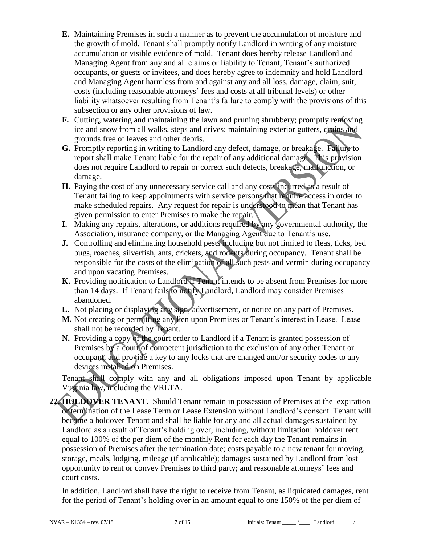- **E.** Maintaining Premises in such a manner as to prevent the accumulation of moisture and the growth of mold. Tenant shall promptly notify Landlord in writing of any moisture accumulation or visible evidence of mold. Tenant does hereby release Landlord and Managing Agent from any and all claims or liability to Tenant, Tenant's authorized occupants, or guests or invitees, and does hereby agree to indemnify and hold Landlord and Managing Agent harmless from and against any and all loss, damage, claim, suit, costs (including reasonable attorneys' fees and costs at all tribunal levels) or other liability whatsoever resulting from Tenant's failure to comply with the provisions of this subsection or any other provisions of law.
- **F.** Cutting, watering and maintaining the lawn and pruning shrubbery; promptly removing ice and snow from all walks, steps and drives; maintaining exterior gutters, drains and grounds free of leaves and other debris.
- **G.** Promptly reporting in writing to Landlord any defect, damage, or breakage. Failure to report shall make Tenant liable for the repair of any additional damage. This provision does not require Landlord to repair or correct such defects, breakage, malfunction, or damage.
- **H.** Paying the cost of any unnecessary service call and any costs incurred as a result of Tenant failing to keep appointments with service persons that require access in order to make scheduled repairs. Any request for repair is understood to mean that Tenant has given permission to enter Premises to make the repair.
- **I.** Making any repairs, alterations, or additions required by any governmental authority, the Association, insurance company, or the Managing Agent due to Tenant's use.
- **J.** Controlling and eliminating household pests including but not limited to fleas, ticks, bed bugs, roaches, silverfish, ants, crickets, and rodents during occupancy. Tenant shall be responsible for the costs of the elimination of all such pests and vermin during occupancy and upon vacating Premises.
- **K.** Providing notification to Landlord if Tenant intends to be absent from Premises for more than 14 days. If Tenant fails to notify Landlord, Landlord may consider Premises abandoned.
- **L.** Not placing or displaying any sign, advertisement, or notice on any part of Premises.
- **M.** Not creating or permitting any lien upon Premises or Tenant's interest in Lease. Lease shall not be recorded by Tenant.
- **N.** Providing a copy of the court order to Landlord if a Tenant is granted possession of Premises by a court of competent jurisdiction to the exclusion of any other Tenant or occupant, and provide a key to any locks that are changed and/or security codes to any devices installed on Premises.

Tenant shall comply with any and all obligations imposed upon Tenant by applicable Virginia law, including the VRLTA.

**22. HOLDOVER TENANT**. Should Tenant remain in possession of Premises at the expiration or termination of the Lease Term or Lease Extension without Landlord's consent Tenant will become a holdover Tenant and shall be liable for any and all actual damages sustained by Landlord as a result of Tenant's holding over, including, without limitation: holdover rent equal to 100% of the per diem of the monthly Rent for each day the Tenant remains in possession of Premises after the termination date; costs payable to a new tenant for moving, storage, meals, lodging, mileage (if applicable); damages sustained by Landlord from lost opportunity to rent or convey Premises to third party; and reasonable attorneys' fees and court costs.

In addition, Landlord shall have the right to receive from Tenant, as liquidated damages, rent for the period of Tenant's holding over in an amount equal to one 150% of the per diem of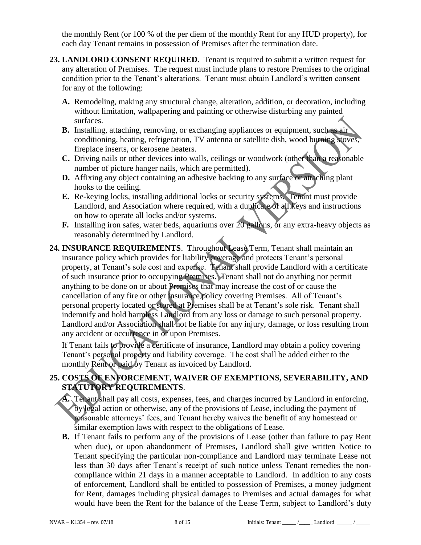the monthly Rent (or 100 % of the per diem of the monthly Rent for any HUD property), for each day Tenant remains in possession of Premises after the termination date.

- **23. LANDLORD CONSENT REQUIRED**. Tenant is required to submit a written request for any alteration of Premises. The request must include plans to restore Premises to the original condition prior to the Tenant's alterations. Tenant must obtain Landlord's written consent for any of the following:
	- **A.** Remodeling, making any structural change, alteration, addition, or decoration, including without limitation, wallpapering and painting or otherwise disturbing any painted surfaces.
	- **B.** Installing, attaching, removing, or exchanging appliances or equipment, such as air conditioning, heating, refrigeration, TV antenna or satellite dish, wood burning stoves, fireplace inserts, or kerosene heaters.
	- **C.** Driving nails or other devices into walls, ceilings or woodwork (other than a reasonable number of picture hanger nails, which are permitted).
	- **D.** Affixing any object containing an adhesive backing to any surface or attaching plant hooks to the ceiling.
	- **E.** Re-keying locks, installing additional locks or security systems. Tenant must provide Landlord, and Association where required, with a duplicate of all keys and instructions on how to operate all locks and/or systems.
	- **F.** Installing iron safes, water beds, aquariums over 20 gallons, or any extra-heavy objects as reasonably determined by Landlord.
- **24. INSURANCE REQUIREMENTS**. Throughout Lease Term, Tenant shall maintain an insurance policy which provides for liability coverage and protects Tenant's personal property, at Tenant's sole cost and expense. Tenant shall provide Landlord with a certificate of such insurance prior to occupying Premises. Tenant shall not do anything nor permit anything to be done on or about Premises that may increase the cost of or cause the cancellation of any fire or other insurance policy covering Premises. All of Tenant's personal property located or stored at Premises shall be at Tenant's sole risk. Tenant shall indemnify and hold harmless Landlord from any loss or damage to such personal property. Landlord and/or Association shall not be liable for any injury, damage, or loss resulting from any accident or occurrence in or upon Premises.

If Tenant fails to provide a certificate of insurance, Landlord may obtain a policy covering Tenant's personal property and liability coverage. The cost shall be added either to the monthly Rent or paid by Tenant as invoiced by Landlord.

## **25. COSTS OF ENFORCEMENT, WAIVER OF EXEMPTIONS, SEVERABILITY, AND STATUTORY REQUIREMENTS**.

- **A.** Tenant shall pay all costs, expenses, fees, and charges incurred by Landlord in enforcing, by legal action or otherwise, any of the provisions of Lease, including the payment of reasonable attorneys' fees, and Tenant hereby waives the benefit of any homestead or similar exemption laws with respect to the obligations of Lease.
- **B.** If Tenant fails to perform any of the provisions of Lease (other than failure to pay Rent when due), or upon abandonment of Premises, Landlord shall give written Notice to Tenant specifying the particular non-compliance and Landlord may terminate Lease not less than 30 days after Tenant's receipt of such notice unless Tenant remedies the noncompliance within 21 days in a manner acceptable to Landlord. In addition to any costs of enforcement, Landlord shall be entitled to possession of Premises, a money judgment for Rent, damages including physical damages to Premises and actual damages for what would have been the Rent for the balance of the Lease Term, subject to Landlord's duty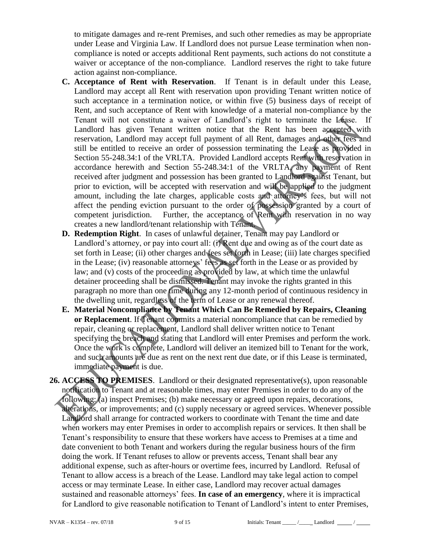to mitigate damages and re-rent Premises, and such other remedies as may be appropriate under Lease and Virginia Law. If Landlord does not pursue Lease termination when noncompliance is noted or accepts additional Rent payments, such actions do not constitute a waiver or acceptance of the non-compliance. Landlord reserves the right to take future action against non-compliance.

- **C. Acceptance of Rent with Reservation**. If Tenant is in default under this Lease, Landlord may accept all Rent with reservation upon providing Tenant written notice of such acceptance in a termination notice, or within five (5) business days of receipt of Rent, and such acceptance of Rent with knowledge of a material non-compliance by the Tenant will not constitute a waiver of Landlord's right to terminate the Lease. If Landlord has given Tenant written notice that the Rent has been accepted with reservation, Landlord may accept full payment of all Rent, damages and other fees and still be entitled to receive an order of possession terminating the Lease as provided in Section 55-248.34:1 of the VRLTA. Provided Landlord accepts Rent with reservation in accordance herewith and Section 55-248.34:1 of the VRLTA, any payment of Rent received after judgment and possession has been granted to Landlord against Tenant, but prior to eviction, will be accepted with reservation and will be applied to the judgment amount, including the late charges, applicable costs and attorney's fees, but will not affect the pending eviction pursuant to the order of possession granted by a court of competent jurisdiction. Further, the acceptance of Rent with reservation in no way creates a new landlord/tenant relationship with Tenant.
- **D. Redemption Right**. In cases of unlawful detainer, Tenant may pay Landlord or Landlord's attorney, or pay into court all: (i) Rent due and owing as of the court date as set forth in Lease; (ii) other charges and fees set forth in Lease; (iii) late charges specified in the Lease; (iv) reasonable attorneys' fees as set forth in the Lease or as provided by law; and (v) costs of the proceeding as provided by law, at which time the unlawful detainer proceeding shall be dismissed. Tenant may invoke the rights granted in this paragraph no more than one time during any 12-month period of continuous residency in the dwelling unit, regardless of the term of Lease or any renewal thereof.
- **E. Material Noncompliance by Tenant Which Can Be Remedied by Repairs, Cleaning or Replacement**. If Tenant commits a material noncompliance that can be remedied by repair, cleaning or replacement, Landlord shall deliver written notice to Tenant specifying the breach and stating that Landlord will enter Premises and perform the work. Once the work is complete, Landlord will deliver an itemized bill to Tenant for the work, and such amounts are due as rent on the next rent due date, or if this Lease is terminated, immediate payment is due.
- **26. ACCESS TO PREMISES**. Landlord or their designated representative(s), upon reasonable notification to Tenant and at reasonable times, may enter Premises in order to do any of the following: (a) inspect Premises; (b) make necessary or agreed upon repairs, decorations, alterations, or improvements; and (c) supply necessary or agreed services. Whenever possible Landlord shall arrange for contracted workers to coordinate with Tenant the time and date when workers may enter Premises in order to accomplish repairs or services. It then shall be Tenant's responsibility to ensure that these workers have access to Premises at a time and date convenient to both Tenant and workers during the regular business hours of the firm doing the work. If Tenant refuses to allow or prevents access, Tenant shall bear any additional expense, such as after-hours or overtime fees, incurred by Landlord. Refusal of Tenant to allow access is a breach of the Lease. Landlord may take legal action to compel access or may terminate Lease. In either case, Landlord may recover actual damages sustained and reasonable attorneys' fees. **In case of an emergency**, where it is impractical for Landlord to give reasonable notification to Tenant of Landlord's intent to enter Premises,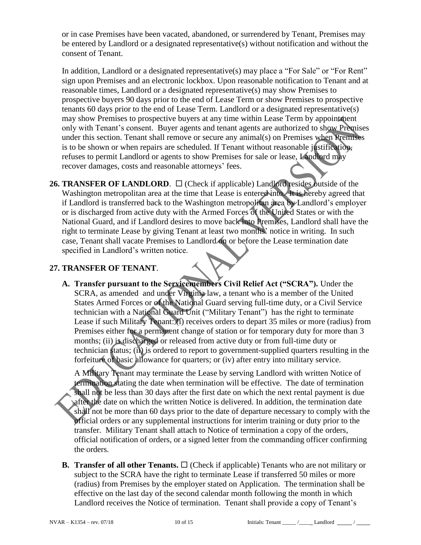or in case Premises have been vacated, abandoned, or surrendered by Tenant, Premises may be entered by Landlord or a designated representative(s) without notification and without the consent of Tenant.

In addition, Landlord or a designated representative(s) may place a "For Sale" or "For Rent" sign upon Premises and an electronic lockbox. Upon reasonable notification to Tenant and at reasonable times, Landlord or a designated representative(s) may show Premises to prospective buyers 90 days prior to the end of Lease Term or show Premises to prospective tenants 60 days prior to the end of Lease Term. Landlord or a designated representative(s) may show Premises to prospective buyers at any time within Lease Term by appointment only with Tenant's consent. Buyer agents and tenant agents are authorized to show Premises under this section. Tenant shall remove or secure any animal(s) on Premises when Premises is to be shown or when repairs are scheduled. If Tenant without reasonable justification, refuses to permit Landlord or agents to show Premises for sale or lease, Landlord may recover damages, costs and reasonable attorneys' fees.

**26. TRANSFER OF LANDLORD.**  $\Box$  (Check if applicable) Landlord resides outside of the Washington metropolitan area at the time that Lease is entered into. It is hereby agreed that if Landlord is transferred back to the Washington metropolitan area by Landlord's employer or is discharged from active duty with the Armed Forces of the United States or with the National Guard, and if Landlord desires to move back into Premises, Landlord shall have the right to terminate Lease by giving Tenant at least two months' notice in writing. In such case, Tenant shall vacate Premises to Landlord on or before the Lease termination date specified in Landlord's written notice.

#### **27. TRANSFER OF TENANT**.

**A. Transfer pursuant to the Servicemembers Civil Relief Act ("SCRA").** Under the SCRA, as amended and under Virginia law, a tenant who is a member of the United States Armed Forces or of the National Guard serving full-time duty, or a Civil Service technician with a National Guard Unit ("Military Tenant") has the right to terminate Lease if such Military Tenant: (i) receives orders to depart 35 miles or more (radius) from Premises either for a permanent change of station or for temporary duty for more than 3 months; (ii) is discharged or released from active duty or from full-time duty or technician status; (ii) is ordered to report to government-supplied quarters resulting in the forfeiture of basic allowance for quarters; or (iv) after entry into military service.

A Military Tenant may terminate the Lease by serving Landlord with written Notice of termination stating the date when termination will be effective. The date of termination shall not be less than 30 days after the first date on which the next rental payment is due after the date on which the written Notice is delivered. In addition, the termination date shall not be more than 60 days prior to the date of departure necessary to comply with the official orders or any supplemental instructions for interim training or duty prior to the transfer. Military Tenant shall attach to Notice of termination a copy of the orders, official notification of orders, or a signed letter from the commanding officer confirming the orders.

**B. Transfer of all other Tenants.**  $\Box$  (Check if applicable) Tenants who are not military or subject to the SCRA have the right to terminate Lease if transferred 50 miles or more (radius) from Premises by the employer stated on Application. The termination shall be effective on the last day of the second calendar month following the month in which Landlord receives the Notice of termination. Tenant shall provide a copy of Tenant's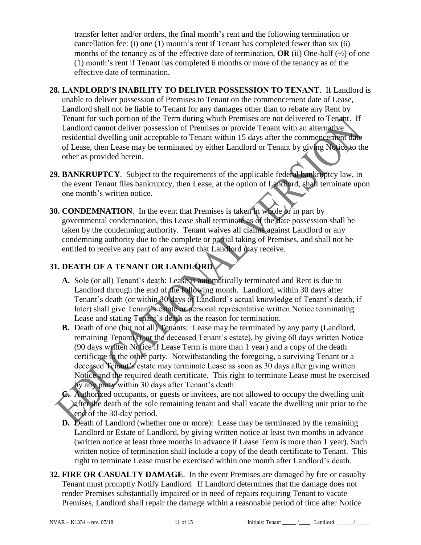transfer letter and/or orders, the final month's rent and the following termination or cancellation fee: (i) one (1) month's rent if Tenant has completed fewer than six (6) months of the tenancy as of the effective date of termination,  $OR$  (ii) One-half  $(\frac{1}{2})$  of one (1) month's rent if Tenant has completed 6 months or more of the tenancy as of the effective date of termination.

- **28. LANDLORD'S INABILITY TO DELIVER POSSESSION TO TENANT**. If Landlord is unable to deliver possession of Premises to Tenant on the commencement date of Lease, Landlord shall not be liable to Tenant for any damages other than to rebate any Rent by Tenant for such portion of the Term during which Premises are not delivered to Tenant. If Landlord cannot deliver possession of Premises or provide Tenant with an alternative residential dwelling unit acceptable to Tenant within 15 days after the commencement date of Lease, then Lease may be terminated by either Landlord or Tenant by giving Notice to the other as provided herein.
- **29. BANKRUPTCY**. Subject to the requirements of the applicable federal bankruptcy law, in the event Tenant files bankruptcy, then Lease, at the option of Landlord, shall terminate upon one month's written notice.
- **30. CONDEMNATION.** In the event that Premises is taken in whole or in part by governmental condemnation, this Lease shall terminate as of the date possession shall be taken by the condemning authority. Tenant waives all claims against Landlord or any condemning authority due to the complete or partial taking of Premises, and shall not be entitled to receive any part of any award that Landlord may receive.

# **31. DEATH OF A TENANT OR LANDLORD**.

- **A.** Sole (or all) Tenant's death: Lease is automatically terminated and Rent is due to Landlord through the end of the following month. Landlord, within 30 days after Tenant's death (or within 30 days of Landlord's actual knowledge of Tenant's death, if later) shall give Tenant's estate or personal representative written Notice terminating Lease and stating Tenant's death as the reason for termination.
- **B.** Death of one (but not all) Tenants: Lease may be terminated by any party (Landlord, remaining Tenant(s), or the deceased Tenant's estate), by giving 60 days written Notice (90 days written Notice if Lease Term is more than 1 year) and a copy of the death certificate to the other party. Notwithstanding the foregoing, a surviving Tenant or a deceased Tenant's estate may terminate Lease as soon as 30 days after giving written Notice and the required death certificate. This right to terminate Lease must be exercised by any party within 30 days after Tenant's death.
- **C.** Authorized occupants, or guests or invitees, are not allowed to occupy the dwelling unit after the death of the sole remaining tenant and shall vacate the dwelling unit prior to the end of the 30-day period.
- **D.** Death of Landlord (whether one or more): Lease may be terminated by the remaining Landlord or Estate of Landlord, by giving written notice at least two months in advance (written notice at least three months in advance if Lease Term is more than 1 year). Such written notice of termination shall include a copy of the death certificate to Tenant. This right to terminate Lease must be exercised within one month after Landlord's death.
- **32. FIRE OR CASUALTY DAMAGE**.In the event Premises are damaged by fire or casualty Tenant must promptly Notify Landlord. If Landlord determines that the damage does not render Premises substantially impaired or in need of repairs requiring Tenant to vacate Premises, Landlord shall repair the damage within a reasonable period of time after Notice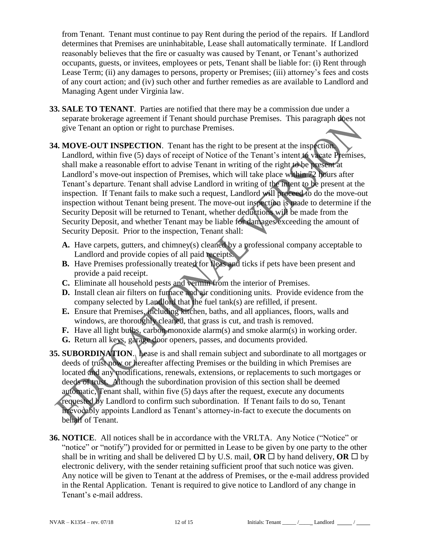from Tenant. Tenant must continue to pay Rent during the period of the repairs. If Landlord determines that Premises are uninhabitable, Lease shall automatically terminate. If Landlord reasonably believes that the fire or casualty was caused by Tenant, or Tenant's authorized occupants, guests, or invitees, employees or pets, Tenant shall be liable for: (i) Rent through Lease Term; (ii) any damages to persons, property or Premises; (iii) attorney's fees and costs of any court action; and (iv) such other and further remedies as are available to Landlord and Managing Agent under Virginia law.

- **33. SALE TO TENANT**. Parties are notified that there may be a commission due under a separate brokerage agreement if Tenant should purchase Premises. This paragraph does not give Tenant an option or right to purchase Premises.
- **34. MOVE-OUT INSPECTION**. Tenant has the right to be present at the inspection. Landlord, within five (5) days of receipt of Notice of the Tenant's intent to vacate Premises, shall make a reasonable effort to advise Tenant in writing of the right to be present at Landlord's move-out inspection of Premises, which will take place within 72 hours after Tenant's departure. Tenant shall advise Landlord in writing of the intent to be present at the inspection. If Tenant fails to make such a request, Landlord will proceed to do the move-out inspection without Tenant being present. The move-out inspection is made to determine if the Security Deposit will be returned to Tenant, whether deductions will be made from the Security Deposit, and whether Tenant may be liable for damages exceeding the amount of Security Deposit. Prior to the inspection, Tenant shall:
	- **A.** Have carpets, gutters, and chimney(s) cleaned by a professional company acceptable to Landlord and provide copies of all paid receipts.
	- **B.** Have Premises professionally treated for fleas and ticks if pets have been present and provide a paid receipt.
	- **C.** Eliminate all household pests and vermin from the interior of Premises.
	- **D.** Install clean air filters on furnace and air conditioning units. Provide evidence from the company selected by Landlord that the fuel tank(s) are refilled, if present.
	- **E.** Ensure that Premises, including kitchen, baths, and all appliances, floors, walls and windows, are thoroughly cleaned, that grass is cut, and trash is removed.
	- **F.** Have all light bulbs, carbon monoxide alarm(s) and smoke alarm(s) in working order.
	- **G.** Return all keys, garage door openers, passes, and documents provided.
- **35. SUBORDINATION**. Lease is and shall remain subject and subordinate to all mortgages or deeds of trust now or hereafter affecting Premises or the building in which Premises are located and any modifications, renewals, extensions, or replacements to such mortgages or deeds of trust. Although the subordination provision of this section shall be deemed automatic, Tenant shall, within five (5) days after the request, execute any documents requested by Landlord to confirm such subordination. If Tenant fails to do so, Tenant irrevocably appoints Landlord as Tenant's attorney-in-fact to execute the documents on behalf of Tenant.
- **36. NOTICE**. All notices shall be in accordance with the VRLTA. Any Notice ("Notice" or "notice" or "notify") provided for or permitted in Lease to be given by one party to the other shall be in writing and shall be delivered  $\Box$  by U.S. mail, **OR**  $\Box$  by hand delivery, **OR**  $\Box$  by electronic delivery, with the sender retaining sufficient proof that such notice was given. Any notice will be given to Tenant at the address of Premises, or the e-mail address provided in the Rental Application. Tenant is required to give notice to Landlord of any change in Tenant's e-mail address.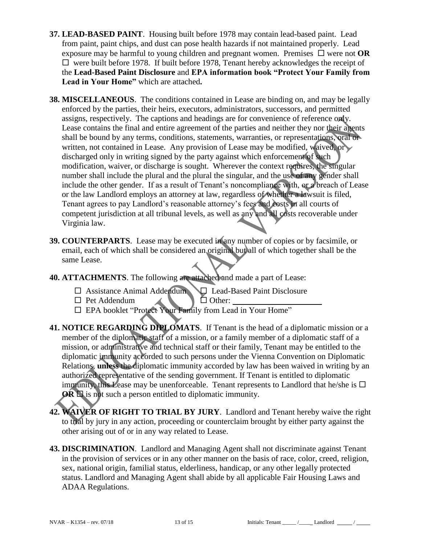- **37. LEAD-BASED PAINT**.Housing built before 1978 may contain lead-based paint. Lead from paint, paint chips, and dust can pose health hazards if not maintained properly. Lead exposure may be harmful to young children and pregnant women. Premises  $\Box$  were not **OR**  $\Box$  were built before 1978. If built before 1978, Tenant hereby acknowledges the receipt of the **Lead-Based Paint Disclosure** and **EPA information book "Protect Your Family from Lead in Your Home"** which are attached**.**
- **38. MISCELLANEOUS**. The conditions contained in Lease are binding on, and may be legally enforced by the parties, their heirs, executors, administrators, successors, and permitted assigns, respectively. The captions and headings are for convenience of reference only. Lease contains the final and entire agreement of the parties and neither they nor their agents shall be bound by any terms, conditions, statements, warranties, or representations, oral or written, not contained in Lease. Any provision of Lease may be modified, waived, or discharged only in writing signed by the party against which enforcement of such modification, waiver, or discharge is sought. Wherever the context requires, the singular number shall include the plural and the plural the singular, and the use of any gender shall include the other gender. If as a result of Tenant's noncompliance with, or a breach of Lease or the law Landlord employs an attorney at law, regardless of whether a lawsuit is filed, Tenant agrees to pay Landlord's reasonable attorney's fees and costs in all courts of competent jurisdiction at all tribunal levels, as well as any and all costs recoverable under Virginia law.
- **39. COUNTERPARTS**. Lease may be executed in any number of copies or by facsimile, or email, each of which shall be considered an original but all of which together shall be the same Lease.
- **40. ATTACHMENTS**. The following are attached and made a part of Lease:
	- Assistance Animal Addendum Lead-Based Paint Disclosure
	- $\Box$  Pet Addendum  $\Box$   $\Box$  Other:
	- $\square$  EPA booklet "Protect Your Family from Lead in Your Home"
- **41. NOTICE REGARDING DIPLOMATS**. If Tenant is the head of a diplomatic mission or a member of the diplomatic staff of a mission, or a family member of a diplomatic staff of a mission, or administrative and technical staff or their family, Tenant may be entitled to the diplomatic immunity accorded to such persons under the Vienna Convention on Diplomatic Relations, **unless** the diplomatic immunity accorded by law has been waived in writing by an authorized representative of the sending government. If Tenant is entitled to diplomatic immunity, this Lease may be unenforceable. Tenant represents to Landlord that he/she is  $\Box$ **OR**  $\Box$  is not such a person entitled to diplomatic immunity.
- **42. WAIVER OF RIGHT TO TRIAL BY JURY**. Landlord and Tenant hereby waive the right to trial by jury in any action, proceeding or counterclaim brought by either party against the other arising out of or in any way related to Lease.
- **43. DISCRIMINATION**. Landlord and Managing Agent shall not discriminate against Tenant in the provision of services or in any other manner on the basis of race, color, creed, religion, sex, national origin, familial status, elderliness, handicap, or any other legally protected status. Landlord and Managing Agent shall abide by all applicable Fair Housing Laws and ADAA Regulations.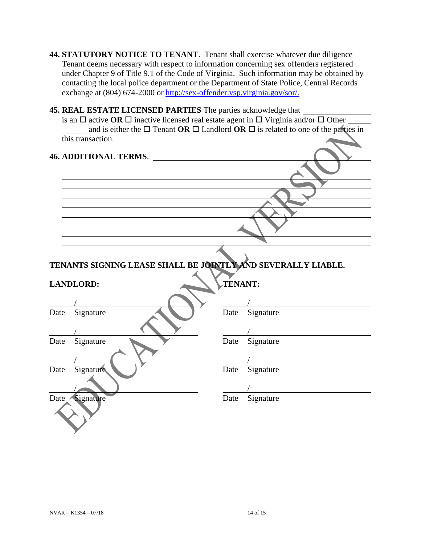- **44. STATUTORY NOTICE TO TENANT**. Tenant shall exercise whatever due diligence Tenant deems necessary with respect to information concerning sex offenders registered under Chapter 9 of Title 9.1 of the Code of Virginia. Such information may be obtained by contacting the local police department or the Department of State Police, Central Records exchange at (804) 674-2000 or [http://sex-offender.vsp.virginia.gov/sor/.](http://sex-offender.vsp.virginia.gov/sor/)
- **45. REAL ESTATE LICENSED PARTIES** The parties acknowledge that is an  $\Box$  active OR  $\Box$  inactive licensed real estate agent in  $\Box$  Virginia and/or  $\Box$  Other and is either the  $\Box$  Tenant **OR**  $\Box$  Landlord **OR**  $\Box$  is related to one of the parties in this transaction.

| <b>46. ADDITIONAL TERMS.</b> |  |
|------------------------------|--|
|                              |  |
|                              |  |
|                              |  |
|                              |  |
|                              |  |
|                              |  |
|                              |  |
|                              |  |
|                              |  |
|                              |  |

**TENANTS SIGNING LEASE SHALL BE JOINTLY AND SEVERALLY LIABLE.**

|      | <b>LANDLORD:</b> | TENANT: |           |  |
|------|------------------|---------|-----------|--|
|      |                  |         |           |  |
| Date | Signature        | Date    | Signature |  |
|      |                  |         |           |  |
| Date | Signature        | Date    | Signature |  |
|      |                  |         |           |  |
| Date | Signature        | Date    | Signature |  |
|      |                  |         |           |  |
| Date | Signature        | Date    | Signature |  |